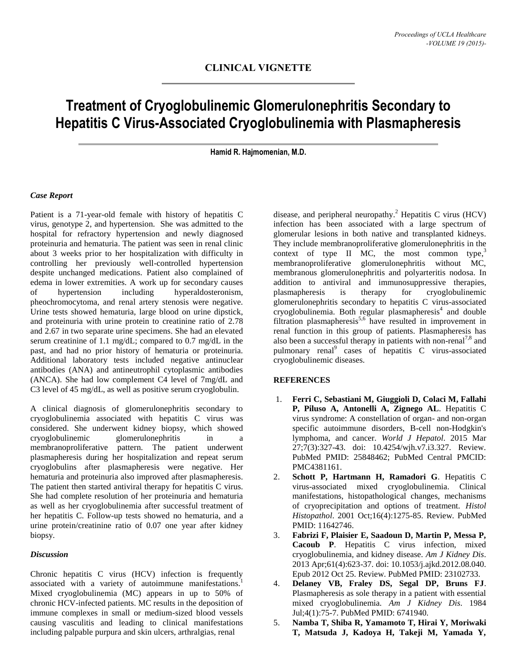## **Treatment of Cryoglobulinemic Glomerulonephritis Secondary to Hepatitis C Virus-Associated Cryoglobulinemia with Plasmapheresis**

**Hamid R. Hajmomenian, M.D.**

## *Case Report*

Patient is a 71-year-old female with history of hepatitis C virus, genotype 2, and hypertension. She was admitted to the hospital for refractory hypertension and newly diagnosed proteinuria and hematuria. The patient was seen in renal clinic about 3 weeks prior to her hospitalization with difficulty in controlling her previously well-controlled hypertension despite unchanged medications. Patient also complained of edema in lower extremities. A work up for secondary causes of hypertension including hyperaldosteronism, pheochromocytoma, and renal artery stenosis were negative. Urine tests showed hematuria, large blood on urine dipstick, and proteinuria with urine protein to creatinine ratio of 2.78 and 2.67 in two separate urine specimens. She had an elevated serum creatinine of 1.1 mg/dL; compared to 0.7 mg/dL in the past, and had no prior history of hematuria or proteinuria. Additional laboratory tests included negative antinuclear antibodies (ANA) and antineutrophil cytoplasmic antibodies (ANCA). She had low complement C4 level of 7mg/dL and C3 level of 45 mg/dL, as well as positive serum cryoglobulin.

A clinical diagnosis of glomerulonephritis secondary to cryoglobulinemia associated with hepatitis C virus was considered. She underwent kidney biopsy, which showed cryoglobulinemic glomerulonephritis in a membranoproliferative pattern. The patient underwent plasmapheresis during her hospitalization and repeat serum cryoglobulins after plasmapheresis were negative. Her hematuria and proteinuria also improved after plasmapheresis. The patient then started antiviral therapy for hepatitis C virus. She had complete resolution of her proteinuria and hematuria as well as her cryoglobulinemia after successful treatment of her hepatitis C. Follow-up tests showed no hematuria, and a urine protein/creatinine ratio of 0.07 one year after kidney biopsy.

## *Discussion*

Chronic hepatitis C virus (HCV) infection is frequently associated with a variety of autoimmune manifestations.<sup>1</sup> Mixed cryoglobulinemia (MC) appears in up to 50% of chronic HCV-infected patients. MC results in the deposition of immune complexes in small or medium-sized blood vessels causing vasculitis and leading to clinical manifestations including palpable purpura and skin ulcers, arthralgias, renal

disease, and peripheral neuropathy.<sup>2</sup> Hepatitis C virus (HCV) infection has been associated with a large spectrum of glomerular lesions in both native and transplanted kidneys. They include membranoproliferative glomerulonephritis in the context of type II MC, the most common type, $3$ membranoproliferative glomerulonephritis without MC, membranous glomerulonephritis and polyarteritis nodosa. In addition to antiviral and immunosuppressive therapies, plasmapheresis is therapy for cryoglobulinemic glomerulonephritis secondary to hepatitis C virus-associated  $\epsilon$ ryoglobulinemia. Both regular plasmapheresis<sup>4</sup> and double filtration plasmapheresis<sup>5,6</sup> have resulted in improvement in renal function in this group of patients. Plasmapheresis has also been a successful therapy in patients with non-renal<sup>7,8</sup> and pulmonary renal<sup>9</sup> cases of hepatitis C virus-associated cryoglobulinemic diseases.

## **REFERENCES**

- 1. **Ferri C, Sebastiani M, Giuggioli D, Colaci M, Fallahi P, Piluso A, Antonelli A, Zignego AL**. Hepatitis C virus syndrome: A constellation of organ- and non-organ specific autoimmune disorders, B-cell non-Hodgkin's lymphoma, and cancer. *World J Hepatol*. 2015 Mar 27;7(3):327-43. doi: 10.4254/wjh.v7.i3.327. Review. PubMed PMID: 25848462; PubMed Central PMCID: PMC4381161.
- 2. **Schott P, Hartmann H, Ramadori G**. Hepatitis C virus-associated mixed cryoglobulinemia. Clinical manifestations, histopathological changes, mechanisms of cryoprecipitation and options of treatment. *Histol Histopathol*. 2001 Oct;16(4):1275-85. Review. PubMed PMID: 11642746.
- 3. **Fabrizi F, Plaisier E, Saadoun D, Martin P, Messa P, Cacoub P**. Hepatitis C virus infection, mixed cryoglobulinemia, and kidney disease. *Am J Kidney Dis*. 2013 Apr;61(4):623-37. doi: 10.1053/j.ajkd.2012.08.040. Epub 2012 Oct 25. Review. PubMed PMID: 23102733.
- 4. **Delaney VB, Fraley DS, Segal DP, Bruns FJ**. Plasmapheresis as sole therapy in a patient with essential mixed cryoglobulinemia. *Am J Kidney Dis*. 1984 Jul;4(1):75-7. PubMed PMID: 6741940.
- 5. **Namba T, Shiba R, Yamamoto T, Hirai Y, Moriwaki T, Matsuda J, Kadoya H, Takeji M, Yamada Y,**